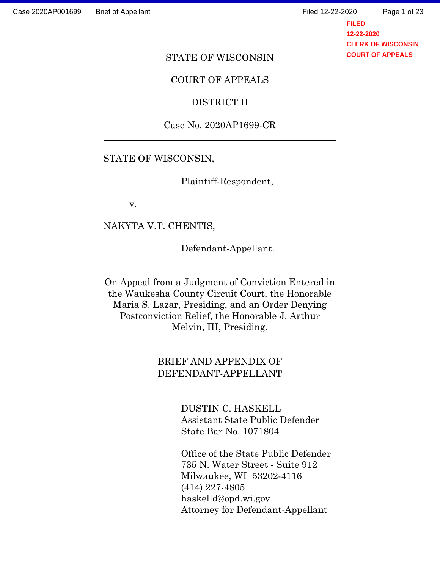Page 1 of 23

**FILED 12-22-2020 CLERK OF WISCONSIN COURT OF APPEALS**

### STATE OF WISCONSIN

### COURT OF APPEALS

### DISTRICT II

### Case No. 2020AP1699-CR

### STATE OF WISCONSIN,

Plaintiff-Respondent,

v.

 $\ddot{\phantom{a}}$ 

 $\ddot{\phantom{a}}$ 

 $\overline{a}$ 

 $\ddot{\phantom{a}}$ 

NAKYTA V.T. CHENTIS,

Defendant-Appellant.

On Appeal from a Judgment of Conviction Entered in the Waukesha County Circuit Court, the Honorable Maria S. Lazar, Presiding, and an Order Denying Postconviction Relief, the Honorable J. Arthur Melvin, III, Presiding.

## BRIEF AND APPENDIX OF DEFENDANT-APPELLANT

DUSTIN C. HASKELL Assistant State Public Defender State Bar No. 1071804

Office of the State Public Defender 735 N. Water Street - Suite 912 Milwaukee, WI 53202-4116 (414) 227-4805 haskelld@opd.wi.gov Attorney for Defendant-Appellant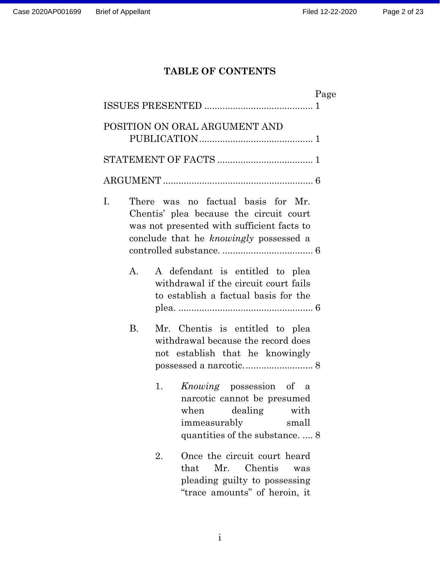# **TABLE OF CONTENTS**

|    |           |                                                                                                                                                                       | Page |
|----|-----------|-----------------------------------------------------------------------------------------------------------------------------------------------------------------------|------|
|    |           |                                                                                                                                                                       |      |
|    |           | POSITION ON ORAL ARGUMENT AND                                                                                                                                         |      |
|    |           |                                                                                                                                                                       |      |
|    |           |                                                                                                                                                                       |      |
| Ι. |           | There was no factual basis for Mr.<br>Chentis' plea because the circuit court<br>was not presented with sufficient facts to<br>conclude that he knowingly possessed a |      |
|    | A.        | A defendant is entitled to plea<br>withdrawal if the circuit court fails<br>to establish a factual basis for the                                                      |      |
|    | <b>B.</b> | Mr. Chentis is entitled to plea<br>withdrawal because the record does<br>not establish that he knowingly                                                              |      |
|    |           | <i>Knowing</i> possession of a<br>1.<br>narcotic cannot be presumed<br>when dealing with<br>immeasurably<br>small<br>quantities of the substance 8                    |      |
|    |           | Once the circuit court heard<br>2.<br>Mr. Chentis<br>that<br>was<br>pleading guilty to possessing<br>"trace amounts" of heroin, it                                    |      |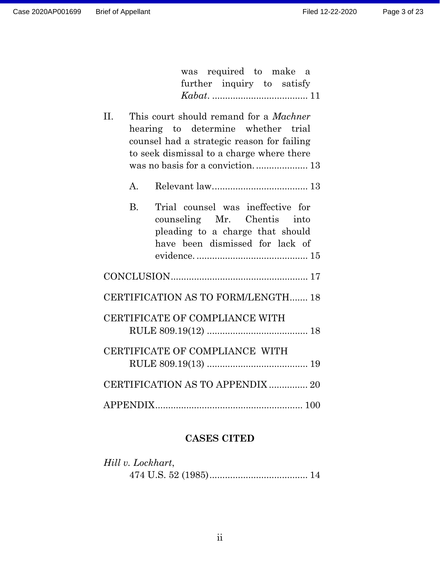| was required to make a<br>further inquiry to satisfy                                                                                                                                  |  |  |  |  |  |
|---------------------------------------------------------------------------------------------------------------------------------------------------------------------------------------|--|--|--|--|--|
| II.<br>This court should remand for a <i>Machner</i><br>hearing to determine whether trial<br>counsel had a strategic reason for failing<br>to seek dismissal to a charge where there |  |  |  |  |  |
| $\mathbf{A}$                                                                                                                                                                          |  |  |  |  |  |
| Trial counsel was ineffective for<br><b>B.</b><br>counseling Mr. Chentis into<br>pleading to a charge that should<br>have been dismissed for lack of                                  |  |  |  |  |  |
|                                                                                                                                                                                       |  |  |  |  |  |
| CERTIFICATION AS TO FORM/LENGTH 18                                                                                                                                                    |  |  |  |  |  |
| CERTIFICATE OF COMPLIANCE WITH                                                                                                                                                        |  |  |  |  |  |
| CERTIFICATE OF COMPLIANCE WITH                                                                                                                                                        |  |  |  |  |  |
| CERTIFICATION AS TO APPENDIX  20                                                                                                                                                      |  |  |  |  |  |
|                                                                                                                                                                                       |  |  |  |  |  |

# **CASES CITED**

| Hill v. Lockhart, |  |
|-------------------|--|
|                   |  |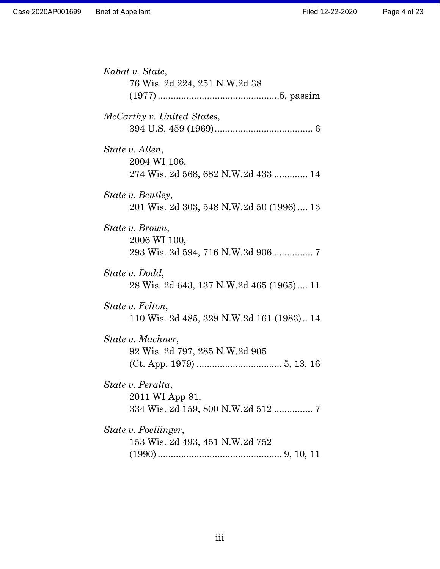| Kabat v. State,                                            |
|------------------------------------------------------------|
| 76 Wis. 2d 224, 251 N.W.2d 38                              |
|                                                            |
| McCarthy v. United States,                                 |
|                                                            |
| State v. Allen,                                            |
| 2004 WI 106,<br>274 Wis. 2d 568, 682 N.W.2d 433  14        |
| State v. Bentley,                                          |
| 201 Wis. 2d 303, 548 N.W.2d 50 (1996) 13                   |
| State v. Brown,                                            |
| 2006 WI 100,<br>293 Wis. 2d 594, 716 N.W.2d 906  7         |
|                                                            |
| State v. Dodd,<br>28 Wis. 2d 643, 137 N.W.2d 465 (1965) 11 |
|                                                            |
| State v. Felton,                                           |
| 110 Wis. 2d 485, 329 N.W.2d 161 (1983) 14                  |
| State v. Machner,                                          |
| 92 Wis. 2d 797, 285 N.W.2d 905                             |
|                                                            |
| State v. Peralta,<br>2011 WI App 81,                       |
| 334 Wis. 2d 159, 800 N.W.2d 512  7                         |
| State v. Poellinger,                                       |
| 153 Wis. 2d 493, 451 N.W.2d 752                            |
|                                                            |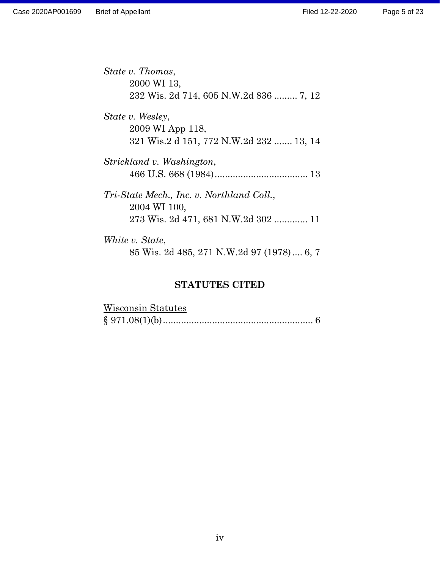| State v. Thomas,                          |
|-------------------------------------------|
| 2000 WI 13,                               |
| 232 Wis. 2d 714, 605 N.W.2d 836  7, 12    |
| State v. Wesley,                          |
| 2009 WI App 118,                          |
| 321 Wis.2 d 151, 772 N.W.2d 232  13, 14   |
| Strickland v. Washington,                 |
|                                           |
| Tri-State Mech., Inc. v. Northland Coll., |
| 2004 WI 100,                              |
| 273 Wis. 2d 471, 681 N.W.2d 302  11       |
| White v. State,                           |
| 85 Wis. 2d 485, 271 N.W.2d 97 (1978) 6, 7 |

# **STATUTES CITED**

| Wisconsin Statutes |  |
|--------------------|--|
|                    |  |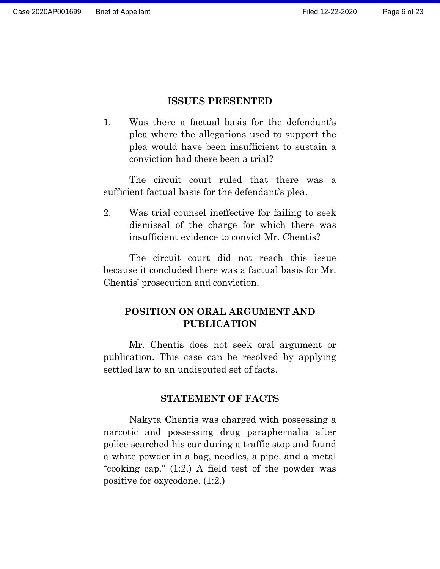### **ISSUES PRESENTED**

1. Was there a factual basis for the defendant's plea where the allegations used to support the plea would have been insufficient to sustain a conviction had there been a trial?

The circuit court ruled that there was a sufficient factual basis for the defendant's plea.

2. Was trial counsel ineffective for failing to seek dismissal of the charge for which there was insufficient evidence to convict Mr. Chentis?

The circuit court did not reach this issue because it concluded there was a factual basis for Mr. Chentis' prosecution and conviction.

# **POSITION ON ORAL ARGUMENT AND PUBLICATION**

Mr. Chentis does not seek oral argument or publication. This case can be resolved by applying settled law to an undisputed set of facts.

### **STATEMENT OF FACTS**

Nakyta Chentis was charged with possessing a narcotic and possessing drug paraphernalia after police searched his car during a traffic stop and found a white powder in a bag, needles, a pipe, and a metal "cooking cap." (1:2.) A field test of the powder was positive for oxycodone. (1:2.)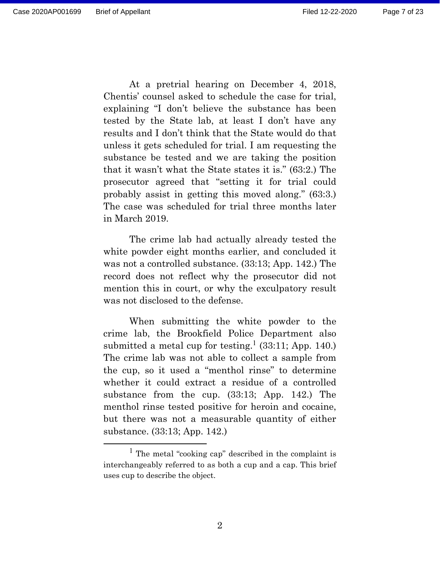At a pretrial hearing on December 4, 2018, Chentis' counsel asked to schedule the case for trial, explaining "I don't believe the substance has been tested by the State lab, at least I don't have any results and I don't think that the State would do that unless it gets scheduled for trial. I am requesting the substance be tested and we are taking the position that it wasn't what the State states it is." (63:2.) The prosecutor agreed that "setting it for trial could probably assist in getting this moved along." (63:3.) The case was scheduled for trial three months later in March 2019.

The crime lab had actually already tested the white powder eight months earlier, and concluded it was not a controlled substance. (33:13; App. 142.) The record does not reflect why the prosecutor did not mention this in court, or why the exculpatory result was not disclosed to the defense.

When submitting the white powder to the crime lab, the Brookfield Police Department also submitted a metal cup for testing.<sup>1</sup> (33:11; App. 140.) The crime lab was not able to collect a sample from the cup, so it used a "menthol rinse" to determine whether it could extract a residue of a controlled substance from the cup. (33:13; App. 142.) The menthol rinse tested positive for heroin and cocaine, but there was not a measurable quantity of either substance. (33:13; App. 142.)

<sup>&</sup>lt;sup>1</sup> The metal "cooking cap" described in the complaint is interchangeably referred to as both a cup and a cap. This brief uses cup to describe the object.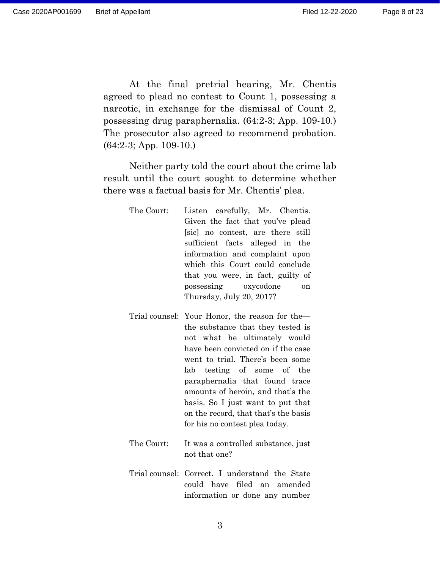At the final pretrial hearing, Mr. Chentis agreed to plead no contest to Count 1, possessing a narcotic, in exchange for the dismissal of Count 2, possessing drug paraphernalia. (64:2-3; App. 109-10.) The prosecutor also agreed to recommend probation. (64:2-3; App. 109-10.)

Neither party told the court about the crime lab result until the court sought to determine whether there was a factual basis for Mr. Chentis' plea.

> The Court: Listen carefully, Mr. Chentis. Given the fact that you've plead [sic] no contest, are there still sufficient facts alleged in the information and complaint upon which this Court could conclude that you were, in fact, guilty of possessing oxycodone on Thursday, July 20, 2017?

- Trial counsel: Your Honor, the reason for the the substance that they tested is not what he ultimately would have been convicted on if the case went to trial. There's been some lab testing of some of the paraphernalia that found trace amounts of heroin, and that's the basis. So I just want to put that on the record, that that's the basis for his no contest plea today.
- The Court: It was a controlled substance, just not that one?
- Trial counsel: Correct. I understand the State could have filed an amended information or done any number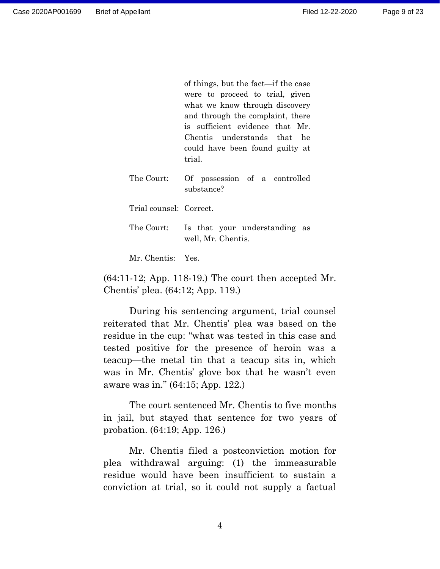Page 9 of 23

of things, but the fact—if the case were to proceed to trial, given what we know through discovery and through the complaint, there is sufficient evidence that Mr. Chentis understands that he could have been found guilty at trial.

The Court: Of possession of a controlled substance?

Trial counsel: Correct.

The Court: Is that your understanding as well, Mr. Chentis.

Mr. Chentis: Yes.

(64:11-12; App. 118-19.) The court then accepted Mr. Chentis' plea. (64:12; App. 119.)

During his sentencing argument, trial counsel reiterated that Mr. Chentis' plea was based on the residue in the cup: "what was tested in this case and tested positive for the presence of heroin was a teacup—the metal tin that a teacup sits in, which was in Mr. Chentis' glove box that he wasn't even aware was in." (64:15; App. 122.)

The court sentenced Mr. Chentis to five months in jail, but stayed that sentence for two years of probation. (64:19; App. 126.)

Mr. Chentis filed a postconviction motion for plea withdrawal arguing: (1) the immeasurable residue would have been insufficient to sustain a conviction at trial, so it could not supply a factual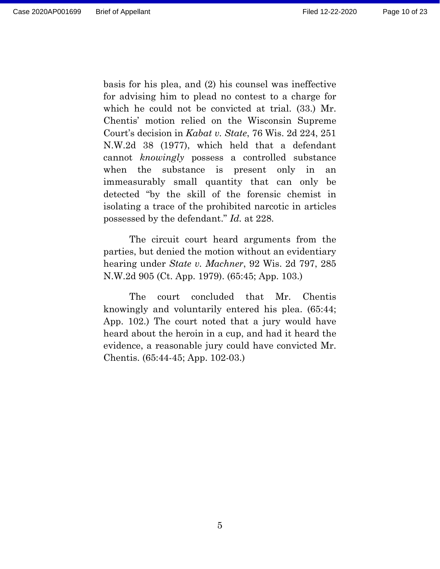basis for his plea, and (2) his counsel was ineffective for advising him to plead no contest to a charge for which he could not be convicted at trial. (33.) Mr. Chentis' motion relied on the Wisconsin Supreme Court's decision in *Kabat v. State*, 76 Wis. 2d 224, 251 N.W.2d 38 (1977), which held that a defendant cannot *knowingly* possess a controlled substance when the substance is present only in an immeasurably small quantity that can only be detected "by the skill of the forensic chemist in isolating a trace of the prohibited narcotic in articles possessed by the defendant." *Id.* at 228.

The circuit court heard arguments from the parties, but denied the motion without an evidentiary hearing under *State v. Machner*, 92 Wis. 2d 797, 285 N.W.2d 905 (Ct. App. 1979). (65:45; App. 103.)

The court concluded that Mr. Chentis knowingly and voluntarily entered his plea. (65:44; App. 102.) The court noted that a jury would have heard about the heroin in a cup, and had it heard the evidence, a reasonable jury could have convicted Mr. Chentis. (65:44-45; App. 102-03.)

5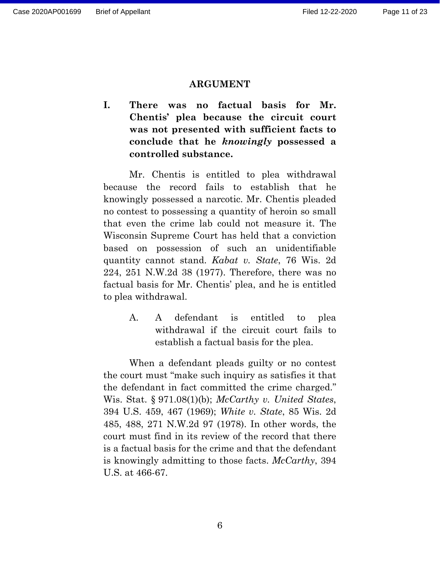### **ARGUMENT**

**I. There was no factual basis for Mr. Chentis' plea because the circuit court was not presented with sufficient facts to conclude that he** *knowingly* **possessed a controlled substance.** 

Mr. Chentis is entitled to plea withdrawal because the record fails to establish that he knowingly possessed a narcotic. Mr. Chentis pleaded no contest to possessing a quantity of heroin so small that even the crime lab could not measure it. The Wisconsin Supreme Court has held that a conviction based on possession of such an unidentifiable quantity cannot stand. *Kabat v. State*, 76 Wis. 2d 224, 251 N.W.2d 38 (1977). Therefore, there was no factual basis for Mr. Chentis' plea, and he is entitled to plea withdrawal.

> A. A defendant is entitled to plea withdrawal if the circuit court fails to establish a factual basis for the plea.

When a defendant pleads guilty or no contest the court must "make such inquiry as satisfies it that the defendant in fact committed the crime charged." Wis. Stat. § 971.08(1)(b); *McCarthy v. United States*, 394 U.S. 459, 467 (1969); *White v. State*, 85 Wis. 2d 485, 488, 271 N.W.2d 97 (1978). In other words, the court must find in its review of the record that there is a factual basis for the crime and that the defendant is knowingly admitting to those facts. *McCarthy*, 394 U.S. at 466-67.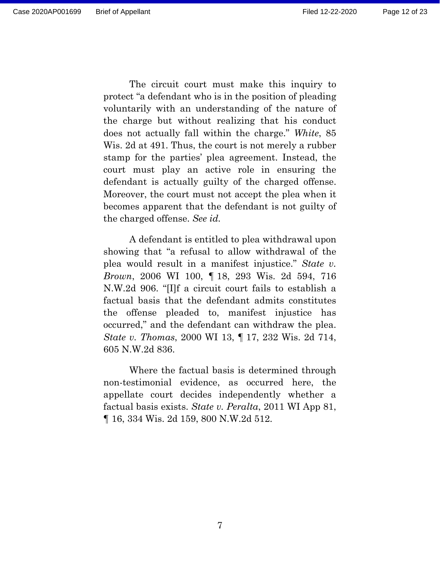The circuit court must make this inquiry to protect "a defendant who is in the position of pleading voluntarily with an understanding of the nature of the charge but without realizing that his conduct does not actually fall within the charge." *White*, 85 Wis. 2d at 491. Thus, the court is not merely a rubber stamp for the parties' plea agreement. Instead, the court must play an active role in ensuring the defendant is actually guilty of the charged offense. Moreover, the court must not accept the plea when it becomes apparent that the defendant is not guilty of the charged offense. *See id.*

A defendant is entitled to plea withdrawal upon showing that "a refusal to allow withdrawal of the plea would result in a manifest injustice." *State v. Brown*, 2006 WI 100, ¶ 18, 293 Wis. 2d 594, 716 N.W.2d 906. "[I]f a circuit court fails to establish a factual basis that the defendant admits constitutes the offense pleaded to, manifest injustice has occurred," and the defendant can withdraw the plea. *State v. Thomas*, 2000 WI 13, ¶ 17, 232 Wis. 2d 714, 605 N.W.2d 836.

Where the factual basis is determined through non-testimonial evidence, as occurred here, the appellate court decides independently whether a factual basis exists. *State v. Peralta*, 2011 WI App 81, ¶ 16, 334 Wis. 2d 159, 800 N.W.2d 512.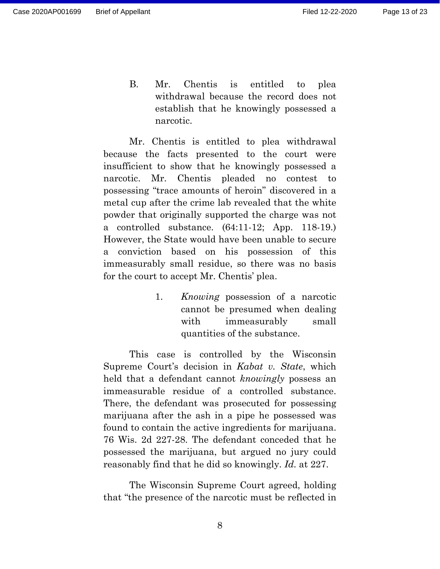Mr. Chentis is entitled to plea withdrawal because the facts presented to the court were insufficient to show that he knowingly possessed a narcotic. Mr. Chentis pleaded no contest to possessing "trace amounts of heroin" discovered in a metal cup after the crime lab revealed that the white powder that originally supported the charge was not a controlled substance. (64:11-12; App. 118-19.) However, the State would have been unable to secure a conviction based on his possession of this immeasurably small residue, so there was no basis for the court to accept Mr. Chentis' plea.

narcotic.

1. *Knowing* possession of a narcotic cannot be presumed when dealing with immeasurably small quantities of the substance.

This case is controlled by the Wisconsin Supreme Court's decision in *Kabat v. State*, which held that a defendant cannot *knowingly* possess an immeasurable residue of a controlled substance. There, the defendant was prosecuted for possessing marijuana after the ash in a pipe he possessed was found to contain the active ingredients for marijuana. 76 Wis. 2d 227-28. The defendant conceded that he possessed the marijuana, but argued no jury could reasonably find that he did so knowingly. *Id.* at 227.

The Wisconsin Supreme Court agreed, holding that "the presence of the narcotic must be reflected in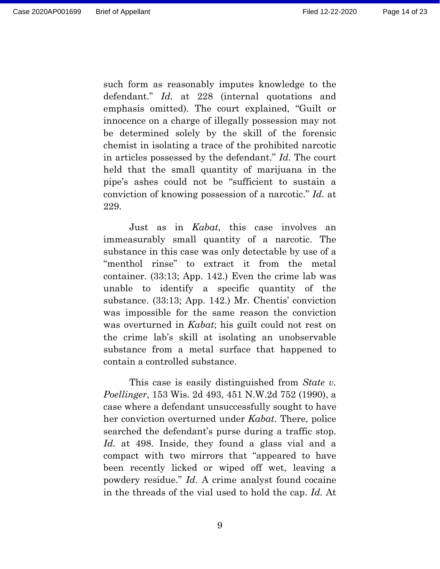such form as reasonably imputes knowledge to the defendant." *Id.* at 228 (internal quotations and emphasis omitted). The court explained, "Guilt or innocence on a charge of illegally possession may not be determined solely by the skill of the forensic chemist in isolating a trace of the prohibited narcotic in articles possessed by the defendant." *Id.* The court held that the small quantity of marijuana in the pipe's ashes could not be "sufficient to sustain a conviction of knowing possession of a narcotic." *Id.* at 229.

Just as in *Kabat*, this case involves an immeasurably small quantity of a narcotic. The substance in this case was only detectable by use of a "menthol rinse" to extract it from the metal container. (33:13; App. 142.) Even the crime lab was unable to identify a specific quantity of the substance. (33:13; App. 142.) Mr. Chentis' conviction was impossible for the same reason the conviction was overturned in *Kabat*; his guilt could not rest on the crime lab's skill at isolating an unobservable substance from a metal surface that happened to contain a controlled substance.

This case is easily distinguished from *State v. Poellinger*, 153 Wis. 2d 493, 451 N.W.2d 752 (1990), a case where a defendant unsuccessfully sought to have her conviction overturned under *Kabat*. There, police searched the defendant's purse during a traffic stop. *Id.* at 498. Inside, they found a glass vial and a compact with two mirrors that "appeared to have been recently licked or wiped off wet, leaving a powdery residue." *Id.* A crime analyst found cocaine in the threads of the vial used to hold the cap. *Id.* At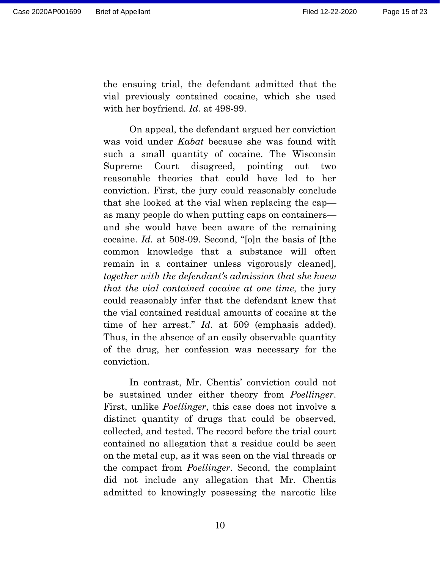the ensuing trial, the defendant admitted that the vial previously contained cocaine, which she used with her boyfriend. *Id.* at 498-99.

On appeal, the defendant argued her conviction was void under *Kabat* because she was found with such a small quantity of cocaine. The Wisconsin Supreme Court disagreed, pointing out two reasonable theories that could have led to her conviction. First, the jury could reasonably conclude that she looked at the vial when replacing the cap as many people do when putting caps on containers and she would have been aware of the remaining cocaine. *Id.* at 508-09. Second, "[o]n the basis of [the common knowledge that a substance will often remain in a container unless vigorously cleaned], *together with the defendant's admission that she knew that the vial contained cocaine at one time*, the jury could reasonably infer that the defendant knew that the vial contained residual amounts of cocaine at the time of her arrest." *Id.* at 509 (emphasis added). Thus, in the absence of an easily observable quantity of the drug, her confession was necessary for the conviction.

In contrast, Mr. Chentis' conviction could not be sustained under either theory from *Poellinger*. First, unlike *Poellinger*, this case does not involve a distinct quantity of drugs that could be observed, collected, and tested. The record before the trial court contained no allegation that a residue could be seen on the metal cup, as it was seen on the vial threads or the compact from *Poellinger*. Second, the complaint did not include any allegation that Mr. Chentis admitted to knowingly possessing the narcotic like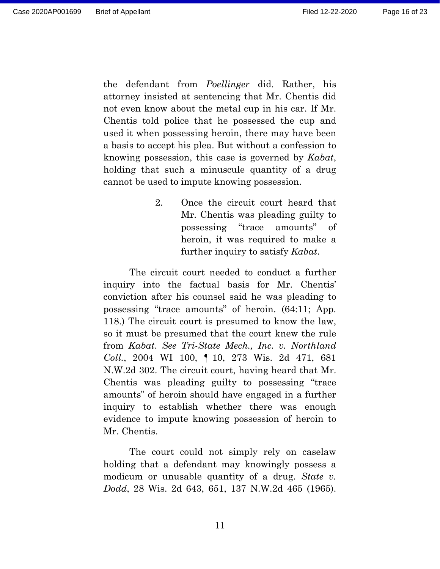the defendant from *Poellinger* did. Rather, his attorney insisted at sentencing that Mr. Chentis did not even know about the metal cup in his car. If Mr. Chentis told police that he possessed the cup and used it when possessing heroin, there may have been a basis to accept his plea. But without a confession to knowing possession, this case is governed by *Kabat*, holding that such a minuscule quantity of a drug cannot be used to impute knowing possession.

> 2. Once the circuit court heard that Mr. Chentis was pleading guilty to possessing "trace amounts" of heroin, it was required to make a further inquiry to satisfy *Kabat*.

The circuit court needed to conduct a further inquiry into the factual basis for Mr. Chentis' conviction after his counsel said he was pleading to possessing "trace amounts" of heroin. (64:11; App. 118.) The circuit court is presumed to know the law, so it must be presumed that the court knew the rule from *Kabat*. *See Tri-State Mech., Inc. v. Northland Coll.*, 2004 WI 100, ¶ 10, 273 Wis. 2d 471, 681 N.W.2d 302. The circuit court, having heard that Mr. Chentis was pleading guilty to possessing "trace amounts" of heroin should have engaged in a further inquiry to establish whether there was enough evidence to impute knowing possession of heroin to Mr. Chentis.

The court could not simply rely on caselaw holding that a defendant may knowingly possess a modicum or unusable quantity of a drug. *State v. Dodd*, 28 Wis. 2d 643, 651, 137 N.W.2d 465 (1965).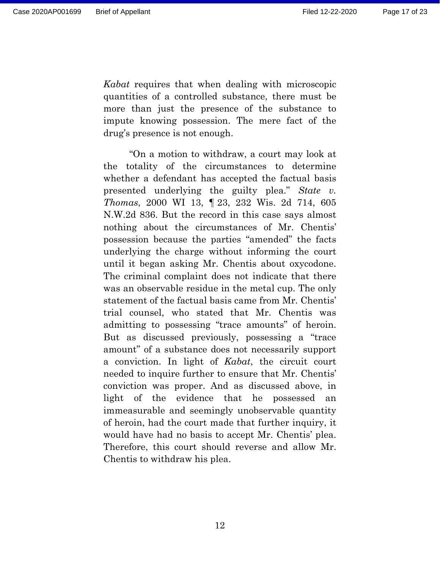*Kabat* requires that when dealing with microscopic quantities of a controlled substance, there must be more than just the presence of the substance to impute knowing possession. The mere fact of the drug's presence is not enough.

"On a motion to withdraw, a court may look at the totality of the circumstances to determine whether a defendant has accepted the factual basis presented underlying the guilty plea." *State v. Thomas*, 2000 WI 13, ¶ 23, 232 Wis. 2d 714, 605 N.W.2d 836. But the record in this case says almost nothing about the circumstances of Mr. Chentis' possession because the parties "amended" the facts underlying the charge without informing the court until it began asking Mr. Chentis about oxycodone. The criminal complaint does not indicate that there was an observable residue in the metal cup. The only statement of the factual basis came from Mr. Chentis' trial counsel, who stated that Mr. Chentis was admitting to possessing "trace amounts" of heroin. But as discussed previously, possessing a "trace amount" of a substance does not necessarily support a conviction. In light of *Kabat*, the circuit court needed to inquire further to ensure that Mr. Chentis' conviction was proper. And as discussed above, in light of the evidence that he possessed an immeasurable and seemingly unobservable quantity of heroin, had the court made that further inquiry, it would have had no basis to accept Mr. Chentis' plea. Therefore, this court should reverse and allow Mr. Chentis to withdraw his plea.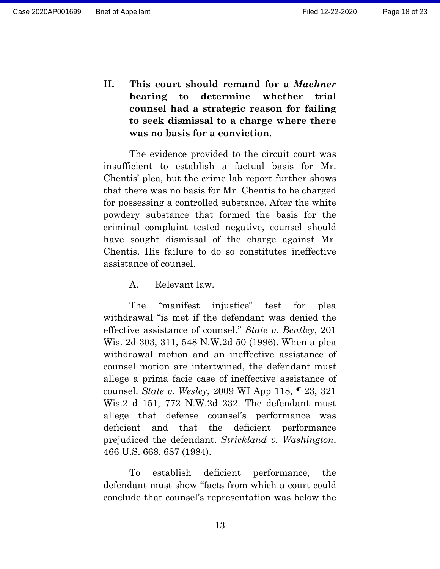**II. This court should remand for a** *Machner* **hearing to determine whether trial counsel had a strategic reason for failing to seek dismissal to a charge where there was no basis for a conviction.** 

The evidence provided to the circuit court was insufficient to establish a factual basis for Mr. Chentis' plea, but the crime lab report further shows that there was no basis for Mr. Chentis to be charged for possessing a controlled substance. After the white powdery substance that formed the basis for the criminal complaint tested negative, counsel should have sought dismissal of the charge against Mr. Chentis. His failure to do so constitutes ineffective assistance of counsel.

A. Relevant law.

The "manifest injustice" test for plea withdrawal "is met if the defendant was denied the effective assistance of counsel." *State v. Bentley*, 201 Wis. 2d 303, 311, 548 N.W.2d 50 (1996). When a plea withdrawal motion and an ineffective assistance of counsel motion are intertwined, the defendant must allege a prima facie case of ineffective assistance of counsel. *State v. Wesley*, 2009 WI App 118, ¶ 23, 321 Wis.2 d 151, 772 N.W.2d 232. The defendant must allege that defense counsel's performance was deficient and that the deficient performance prejudiced the defendant. *Strickland v. Washington*, 466 U.S. 668, 687 (1984).

To establish deficient performance, the defendant must show "facts from which a court could conclude that counsel's representation was below the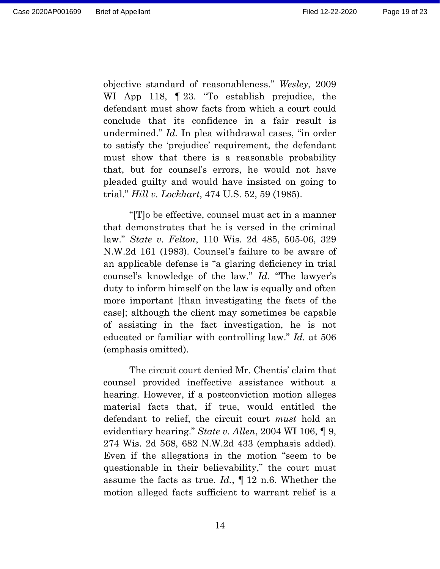objective standard of reasonableness." *Wesley*, 2009 WI App 118,  $\parallel$  23. "To establish prejudice, the defendant must show facts from which a court could conclude that its confidence in a fair result is undermined." *Id.* In plea withdrawal cases, "in order to satisfy the 'prejudice' requirement, the defendant must show that there is a reasonable probability that, but for counsel's errors, he would not have pleaded guilty and would have insisted on going to trial." *Hill v. Lockhart*, 474 U.S. 52, 59 (1985).

"[T]o be effective, counsel must act in a manner that demonstrates that he is versed in the criminal law." *State v. Felton*, 110 Wis. 2d 485, 505-06, 329 N.W.2d 161 (1983). Counsel's failure to be aware of an applicable defense is "a glaring deficiency in trial counsel's knowledge of the law." *Id.* "The lawyer's duty to inform himself on the law is equally and often more important [than investigating the facts of the case]; although the client may sometimes be capable of assisting in the fact investigation, he is not educated or familiar with controlling law." *Id.* at 506 (emphasis omitted).

The circuit court denied Mr. Chentis' claim that counsel provided ineffective assistance without a hearing. However, if a postconviction motion alleges material facts that, if true, would entitled the defendant to relief, the circuit court *must* hold an evidentiary hearing." *State v. Allen*, 2004 WI 106, ¶ 9, 274 Wis. 2d 568, 682 N.W.2d 433 (emphasis added). Even if the allegations in the motion "seem to be questionable in their believability," the court must assume the facts as true. *Id.*, ¶ 12 n.6. Whether the motion alleged facts sufficient to warrant relief is a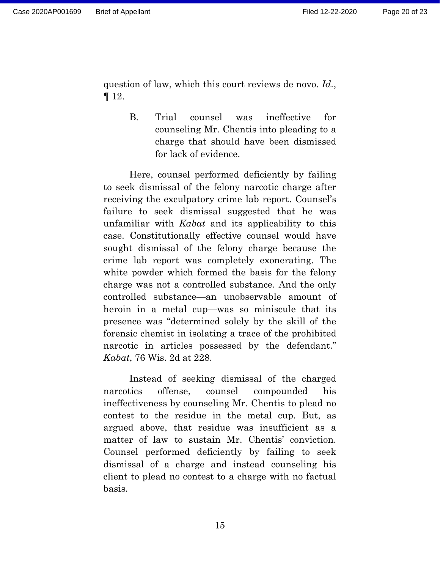question of law, which this court reviews de novo. *Id.*, ¶ 12.

> B. Trial counsel was ineffective for counseling Mr. Chentis into pleading to a charge that should have been dismissed for lack of evidence.

Here, counsel performed deficiently by failing to seek dismissal of the felony narcotic charge after receiving the exculpatory crime lab report. Counsel's failure to seek dismissal suggested that he was unfamiliar with *Kabat* and its applicability to this case. Constitutionally effective counsel would have sought dismissal of the felony charge because the crime lab report was completely exonerating. The white powder which formed the basis for the felony charge was not a controlled substance. And the only controlled substance—an unobservable amount of heroin in a metal cup—was so miniscule that its presence was "determined solely by the skill of the forensic chemist in isolating a trace of the prohibited narcotic in articles possessed by the defendant." *Kabat*, 76 Wis. 2d at 228.

Instead of seeking dismissal of the charged narcotics offense, counsel compounded his ineffectiveness by counseling Mr. Chentis to plead no contest to the residue in the metal cup. But, as argued above, that residue was insufficient as a matter of law to sustain Mr. Chentis' conviction. Counsel performed deficiently by failing to seek dismissal of a charge and instead counseling his client to plead no contest to a charge with no factual basis.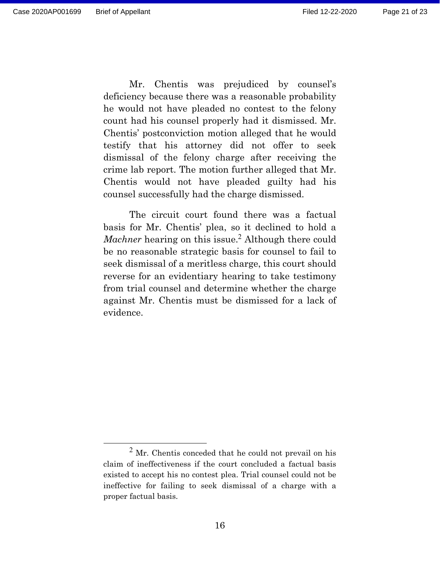Mr. Chentis was prejudiced by counsel's deficiency because there was a reasonable probability he would not have pleaded no contest to the felony count had his counsel properly had it dismissed. Mr. Chentis' postconviction motion alleged that he would testify that his attorney did not offer to seek dismissal of the felony charge after receiving the crime lab report. The motion further alleged that Mr. Chentis would not have pleaded guilty had his counsel successfully had the charge dismissed.

The circuit court found there was a factual basis for Mr. Chentis' plea, so it declined to hold a *Machner* hearing on this issue.<sup>2</sup> Although there could be no reasonable strategic basis for counsel to fail to seek dismissal of a meritless charge, this court should reverse for an evidentiary hearing to take testimony from trial counsel and determine whether the charge against Mr. Chentis must be dismissed for a lack of evidence.

 $<sup>2</sup>$  Mr. Chentis conceded that he could not prevail on his</sup> claim of ineffectiveness if the court concluded a factual basis existed to accept his no contest plea. Trial counsel could not be ineffective for failing to seek dismissal of a charge with a proper factual basis.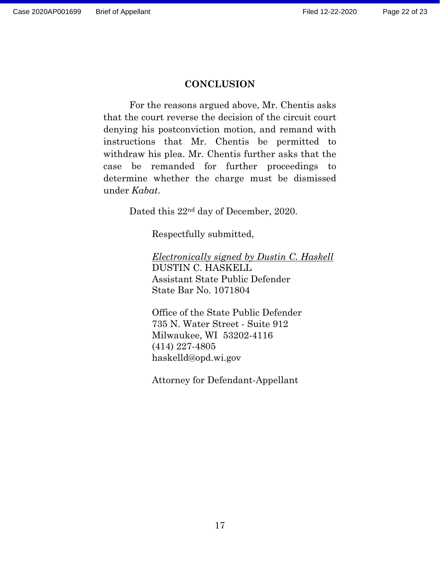### **CONCLUSION**

For the reasons argued above, Mr. Chentis asks that the court reverse the decision of the circuit court denying his postconviction motion, and remand with instructions that Mr. Chentis be permitted to withdraw his plea. Mr. Chentis further asks that the case be remanded for further proceedings to determine whether the charge must be dismissed under *Kabat*.

Dated this 22nd day of December, 2020.

Respectfully submitted,

*Electronically signed by Dustin C. Haskell*  DUSTIN C. HASKELL Assistant State Public Defender State Bar No. 1071804

Office of the State Public Defender 735 N. Water Street - Suite 912 Milwaukee, WI 53202-4116 (414) 227-4805 haskelld@opd.wi.gov

Attorney for Defendant-Appellant